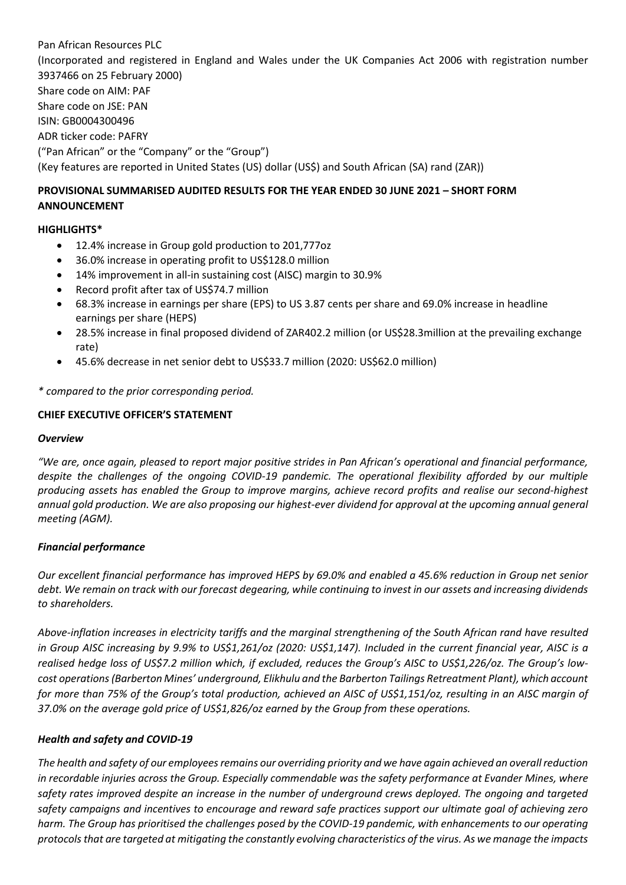Pan African Resources PLC (Incorporated and registered in England and Wales under the UK Companies Act 2006 with registration number 3937466 on 25 February 2000) Share code on AIM: PAF Share code on JSE: PAN ISIN: GB0004300496 ADR ticker code: PAFRY ("Pan African" or the "Company" or the "Group") (Key features are reported in United States (US) dollar (US\$) and South African (SA) rand (ZAR))

# **PROVISIONAL SUMMARISED AUDITED RESULTS FOR THE YEAR ENDED 30 JUNE 2021 – SHORT FORM ANNOUNCEMENT**

## **HIGHLIGHTS\***

- 12.4% increase in Group gold production to 201,777oz
- 36.0% increase in operating profit to US\$128.0 million
- 14% improvement in all-in sustaining cost (AISC) margin to 30.9%
- Record profit after tax of US\$74.7 million
- 68.3% increase in earnings per share (EPS) to US 3.87 cents per share and 69.0% increase in headline earnings per share (HEPS)
- 28.5% increase in final proposed dividend of ZAR402.2 million (or US\$28.3million at the prevailing exchange rate)
- 45.6% decrease in net senior debt to US\$33.7 million (2020: US\$62.0 million)

*\* compared to the prior corresponding period.* 

### **CHIEF EXECUTIVE OFFICER'S STATEMENT**

#### *Overview*

*"We are, once again, pleased to report major positive strides in Pan African's operational and financial performance, despite the challenges of the ongoing COVID-19 pandemic. The operational flexibility afforded by our multiple producing assets has enabled the Group to improve margins, achieve record profits and realise our second-highest annual gold production. We are also proposing our highest-ever dividend for approval at the upcoming annual general meeting (AGM).*

### *Financial performance*

*Our excellent financial performance has improved HEPS by 69.0% and enabled a 45.6% reduction in Group net senior debt. We remain on track with our forecast degearing, while continuing to invest in our assets and increasing dividends to shareholders.* 

*Above-inflation increases in electricity tariffs and the marginal strengthening of the South African rand have resulted in Group AISC increasing by 9.9% to US\$1,261/oz (2020: US\$1,147). Included in the current financial year, AISC is a realised hedge loss of US\$7.2 million which, if excluded, reduces the Group's AISC to US\$1,226/oz. The Group's lowcost operations (Barberton Mines' underground, Elikhulu and the Barberton Tailings Retreatment Plant), which account for more than 75% of the Group's total production, achieved an AISC of US\$1,151/oz, resulting in an AISC margin of 37.0% on the average gold price of US\$1,826/oz earned by the Group from these operations.* 

### *Health and safety and COVID-19*

*The health and safety of our employees remains our overriding priority and we have again achieved an overall reduction in recordable injuries across the Group. Especially commendable was the safety performance at Evander Mines, where safety rates improved despite an increase in the number of underground crews deployed. The ongoing and targeted safety campaigns and incentives to encourage and reward safe practices support our ultimate goal of achieving zero harm. The Group has prioritised the challenges posed by the COVID-19 pandemic, with enhancements to our operating protocols that are targeted at mitigating the constantly evolving characteristics of the virus. As we manage the impacts*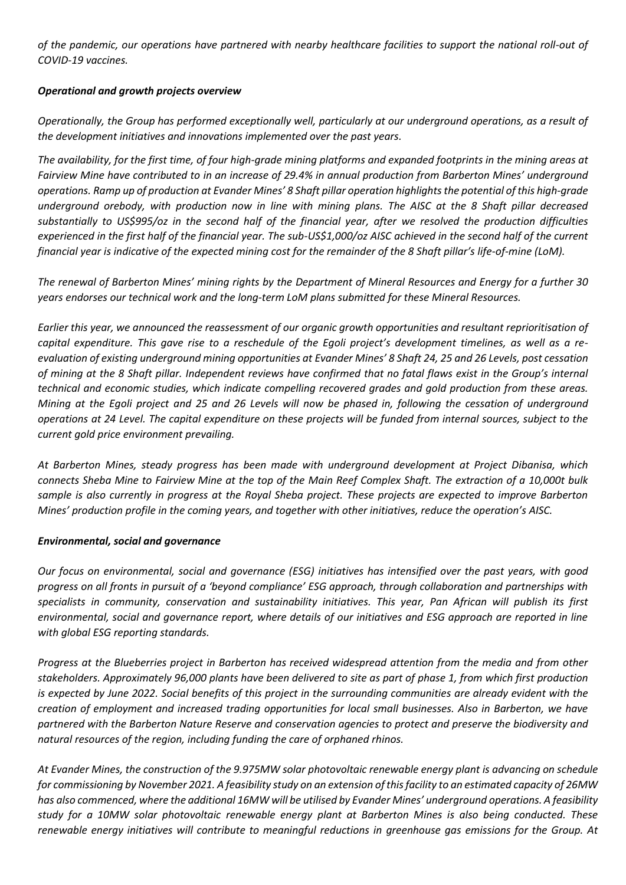*of the pandemic, our operations have partnered with nearby healthcare facilities to support the national roll-out of COVID-19 vaccines.*

### *Operational and growth projects overview*

*Operationally, the Group has performed exceptionally well, particularly at our underground operations, as a result of the development initiatives and innovations implemented over the past years.*

*The availability, for the first time, of four high-grade mining platforms and expanded footprints in the mining areas at Fairview Mine have contributed to in an increase of 29.4% in annual production from Barberton Mines' underground operations. Ramp up of production at Evander Mines' 8 Shaft pillar operation highlights the potential of this high-grade underground orebody, with production now in line with mining plans. The AISC at the 8 Shaft pillar decreased substantially to US\$995/oz in the second half of the financial year, after we resolved the production difficulties experienced in the first half of the financial year. The sub-US\$1,000/oz AISC achieved in the second half of the current financial year is indicative of the expected mining cost for the remainder of the 8 Shaft pillar's life-of-mine (LoM).*

*The renewal of Barberton Mines' mining rights by the Department of Mineral Resources and Energy for a further 30 years endorses our technical work and the long-term LoM plans submitted for these Mineral Resources.* 

*Earlier this year, we announced the reassessment of our organic growth opportunities and resultant reprioritisation of capital expenditure. This gave rise to a reschedule of the Egoli project's development timelines, as well as a reevaluation of existing underground mining opportunities at Evander Mines' 8 Shaft 24, 25 and 26 Levels, post cessation of mining at the 8 Shaft pillar. Independent reviews have confirmed that no fatal flaws exist in the Group's internal technical and economic studies, which indicate compelling recovered grades and gold production from these areas. Mining at the Egoli project and 25 and 26 Levels will now be phased in, following the cessation of underground operations at 24 Level. The capital expenditure on these projects will be funded from internal sources, subject to the current gold price environment prevailing.*

*At Barberton Mines, steady progress has been made with underground development at Project Dibanisa, which connects Sheba Mine to Fairview Mine at the top of the Main Reef Complex Shaft. The extraction of a 10,000t bulk sample is also currently in progress at the Royal Sheba project. These projects are expected to improve Barberton Mines' production profile in the coming years, and together with other initiatives, reduce the operation's AISC.*

### *Environmental, social and governance*

*Our focus on environmental, social and governance (ESG) initiatives has intensified over the past years, with good progress on all fronts in pursuit of a 'beyond compliance' ESG approach, through collaboration and partnerships with specialists in community, conservation and sustainability initiatives. This year, Pan African will publish its first environmental, social and governance report, where details of our initiatives and ESG approach are reported in line with global ESG reporting standards.* 

*Progress at the Blueberries project in Barberton has received widespread attention from the media and from other stakeholders. Approximately 96,000 plants have been delivered to site as part of phase 1, from which first production is expected by June 2022. Social benefits of this project in the surrounding communities are already evident with the creation of employment and increased trading opportunities for local small businesses. Also in Barberton, we have partnered with the Barberton Nature Reserve and conservation agencies to protect and preserve the biodiversity and natural resources of the region, including funding the care of orphaned rhinos.*

*At Evander Mines, the construction of the 9.975MW solar photovoltaic renewable energy plant is advancing on schedule for commissioning by November 2021. A feasibility study on an extension of this facility to an estimated capacity of 26MW has also commenced, where the additional 16MW will be utilised by Evander Mines' underground operations. A feasibility study for a 10MW solar photovoltaic renewable energy plant at Barberton Mines is also being conducted. These renewable energy initiatives will contribute to meaningful reductions in greenhouse gas emissions for the Group. At*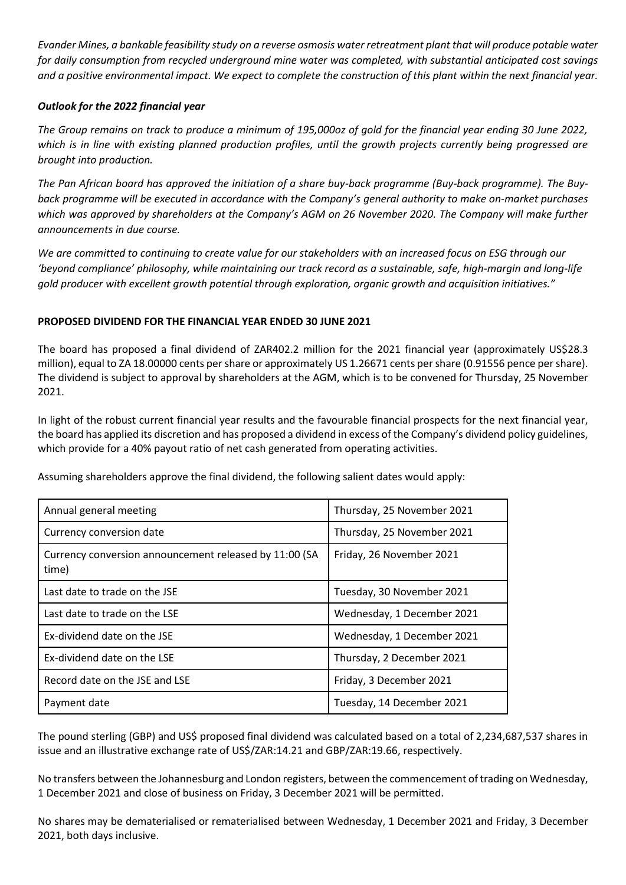*Evander Mines, a bankable feasibility study on a reverse osmosis water retreatment plant that will produce potable water for daily consumption from recycled underground mine water was completed, with substantial anticipated cost savings and a positive environmental impact. We expect to complete the construction of this plant within the next financial year.*

### *Outlook for the 2022 financial year*

*The Group remains on track to produce a minimum of 195,000oz of gold for the financial year ending 30 June 2022, which is in line with existing planned production profiles, until the growth projects currently being progressed are brought into production.* 

*The Pan African board has approved the initiation of a share buy-back programme (Buy-back programme). The Buyback programme will be executed in accordance with the Company's general authority to make on-market purchases which was approved by shareholders at the Company's AGM on 26 November 2020. The Company will make further announcements in due course.*

*We are committed to continuing to create value for our stakeholders with an increased focus on ESG through our 'beyond compliance' philosophy, while maintaining our track record as a sustainable, safe, high-margin and long-life gold producer with excellent growth potential through exploration, organic growth and acquisition initiatives."*

### **PROPOSED DIVIDEND FOR THE FINANCIAL YEAR ENDED 30 JUNE 2021**

The board has proposed a final dividend of ZAR402.2 million for the 2021 financial year (approximately US\$28.3 million), equal to ZA 18.00000 cents per share or approximately US 1.26671 cents per share (0.91556 pence pershare). The dividend is subject to approval by shareholders at the AGM, which is to be convened for Thursday, 25 November 2021.

In light of the robust current financial year results and the favourable financial prospects for the next financial year, the board has applied its discretion and has proposed a dividend in excess of the Company's dividend policy guidelines, which provide for a 40% payout ratio of net cash generated from operating activities.

Assuming shareholders approve the final dividend, the following salient dates would apply:

| Annual general meeting                                          | Thursday, 25 November 2021 |
|-----------------------------------------------------------------|----------------------------|
| Currency conversion date                                        | Thursday, 25 November 2021 |
| Currency conversion announcement released by 11:00 (SA<br>time) | Friday, 26 November 2021   |
| Last date to trade on the JSE                                   | Tuesday, 30 November 2021  |
| Last date to trade on the LSE                                   | Wednesday, 1 December 2021 |
| Ex-dividend date on the JSE                                     | Wednesday, 1 December 2021 |
| Ex-dividend date on the LSE                                     | Thursday, 2 December 2021  |
| Record date on the JSE and LSE                                  | Friday, 3 December 2021    |
| Payment date                                                    | Tuesday, 14 December 2021  |

The pound sterling (GBP) and US\$ proposed final dividend was calculated based on a total of 2,234,687,537 shares in issue and an illustrative exchange rate of US\$/ZAR:14.21 and GBP/ZAR:19.66, respectively.

No transfers between the Johannesburg and London registers, between the commencement of trading on Wednesday, 1 December 2021 and close of business on Friday, 3 December 2021 will be permitted.

No shares may be dematerialised or rematerialised between Wednesday, 1 December 2021 and Friday, 3 December 2021, both days inclusive.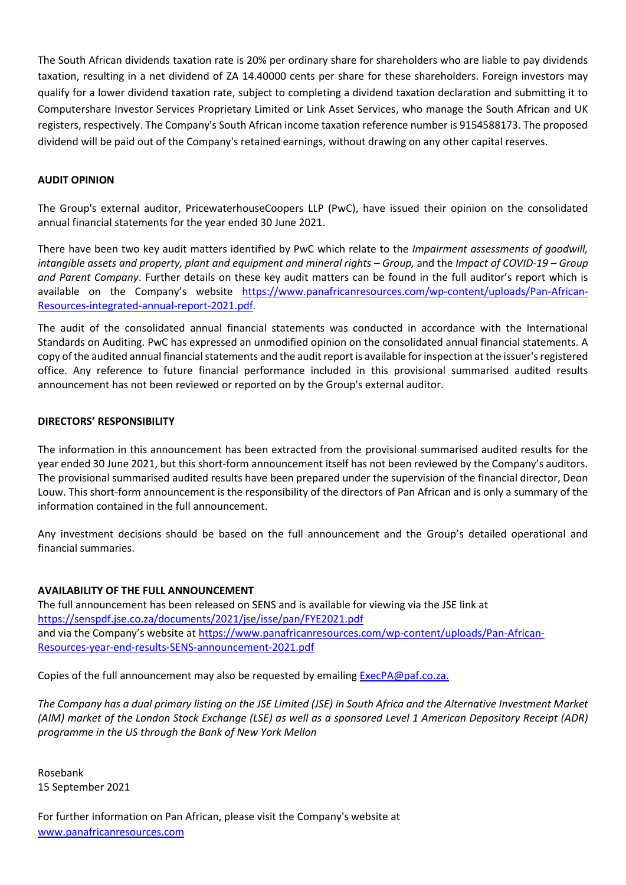The South African dividends taxation rate is 20% per ordinary share for shareholders who are liable to pay dividends taxation, resulting in a net dividend of ZA 14.40000 cents per share for these shareholders. Foreign investors may qualify for a lower dividend taxation rate, subject to completing a dividend taxation declaration and submitting it to Computershare Investor Services Proprietary Limited or Link Asset Services, who manage the South African and UK registers, respectively. The Company's South African income taxation reference number is 9154588173. The proposed dividend will be paid out of the Company's retained earnings, without drawing on any other capital reserves.

#### **AUDIT OPINION**

The Group's external auditor, PricewaterhouseCoopers LLP (PwC), have issued their opinion on the consolidated annual financial statements for the year ended 30 June 2021.

There have been two key audit matters identified by PwC which relate to the *Impairment assessments of goodwill, intangible assets and property, plant and equipment and mineral rights – Group, and the <i>Impact of COVID-19 – Group and Parent Company*. Further details on these key audit matters can be found in the full auditor's report which is available on the Company's website [https://www.panafricanresources.com/wp-content/uploads/Pan-African-](https://www.panafricanresources.com/wp-content/uploads/Pan-African-Resources-integrated-annual-report-2021.pdf)[Resources-integrated-annual-report-2021.pdf.](https://www.panafricanresources.com/wp-content/uploads/Pan-African-Resources-integrated-annual-report-2021.pdf)

The audit of the consolidated annual financial statements was conducted in accordance with the International Standards on Auditing. PwC has expressed an unmodified opinion on the consolidated annual financial statements. A copy of the audited annual financial statements and the audit report is available for inspection at the issuer's registered office. Any reference to future financial performance included in this provisional summarised audited results announcement has not been reviewed or reported on by the Group's external auditor.

#### **DIRECTORS' RESPONSIBILITY**

The information in this announcement has been extracted from the provisional summarised audited results for the year ended 30 June 2021, but this short-form announcement itself has not been reviewed by the Company's auditors. The provisional summarised audited results have been prepared under the supervision of the financial director, Deon Louw. This short-form announcement is the responsibility of the directors of Pan African and is only a summary of the information contained in the full announcement.

Any investment decisions should be based on the full announcement and the Group's detailed operational and financial summaries.

#### **AVAILABILITY OF THE FULL ANNOUNCEMENT**

The full announcement has been released on SENS and is available for viewing via the JSE link at <https://senspdf.jse.co.za/documents/2021/jse/isse/pan/FYE2021.pdf> and via the Company's website at [https://www.panafricanresources.com/wp-content/uploads/Pan-African-](https://www.panafricanresources.com/wp-content/uploads/Pan-African-Resources-year-end-results-SENS-announcement-2021.pdf)[Resources-year-end-results-SENS-announcement-2021.pdf](https://www.panafricanresources.com/wp-content/uploads/Pan-African-Resources-year-end-results-SENS-announcement-2021.pdf)

Copies of the full announcement may also be requested by emailing [ExecPA@paf.co.za.](mailto:ExecPA@paf.co.za)

*The Company has a dual primary listing on the JSE Limited (JSE) in South Africa and the Alternative Investment Market (AIM) market of the London Stock Exchange (LSE) as well as a sponsored Level 1 American Depository Receipt (ADR) programme in the US through the Bank of New York Mellon*

Rosebank 15 September 2021

For further information on Pan African, please visit the Company's website at [www.panafricanresources.com](http://www.panafricanresources.com/)